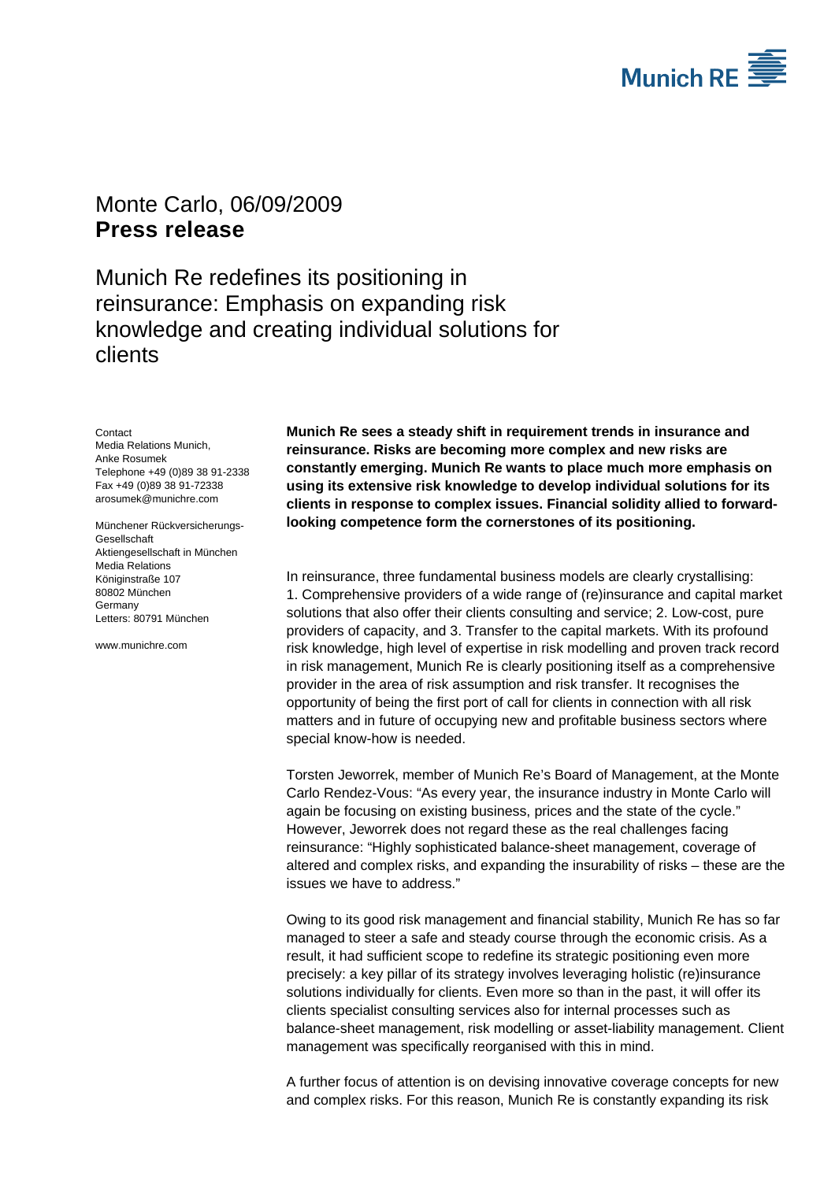

## Monte Carlo, 06/09/2009 **Press release**

Munich Re redefines its positioning in reinsurance: Emphasis on expanding risk knowledge and creating individual solutions for clients

**Contact** 

Media Relations Munich, Anke Rosumek Telephone +49 (0)89 38 91-2338 Fax +49 (0)89 38 91-72338 arosumek@munichre.com

Münchener Rückversicherungs-Gesellschaft Aktiengesellschaft in München Media Relations Königinstraße 107 80802 München **Germany** Letters: 80791 München

www.munichre.com

**Munich Re sees a steady shift in requirement trends in insurance and reinsurance. Risks are becoming more complex and new risks are constantly emerging. Munich Re wants to place much more emphasis on using its extensive risk knowledge to develop individual solutions for its clients in response to complex issues. Financial solidity allied to forwardlooking competence form the cornerstones of its positioning.** 

In reinsurance, three fundamental business models are clearly crystallising: 1. Comprehensive providers of a wide range of (re)insurance and capital market solutions that also offer their clients consulting and service; 2. Low-cost, pure providers of capacity, and 3. Transfer to the capital markets. With its profound risk knowledge, high level of expertise in risk modelling and proven track record in risk management, Munich Re is clearly positioning itself as a comprehensive provider in the area of risk assumption and risk transfer. It recognises the opportunity of being the first port of call for clients in connection with all risk matters and in future of occupying new and profitable business sectors where special know-how is needed.

Torsten Jeworrek, member of Munich Re's Board of Management, at the Monte Carlo Rendez-Vous: "As every year, the insurance industry in Monte Carlo will again be focusing on existing business, prices and the state of the cycle." However, Jeworrek does not regard these as the real challenges facing reinsurance: "Highly sophisticated balance-sheet management, coverage of altered and complex risks, and expanding the insurability of risks – these are the issues we have to address."

Owing to its good risk management and financial stability, Munich Re has so far managed to steer a safe and steady course through the economic crisis. As a result, it had sufficient scope to redefine its strategic positioning even more precisely: a key pillar of its strategy involves leveraging holistic (re)insurance solutions individually for clients. Even more so than in the past, it will offer its clients specialist consulting services also for internal processes such as balance-sheet management, risk modelling or asset-liability management. Client management was specifically reorganised with this in mind.

A further focus of attention is on devising innovative coverage concepts for new and complex risks. For this reason, Munich Re is constantly expanding its risk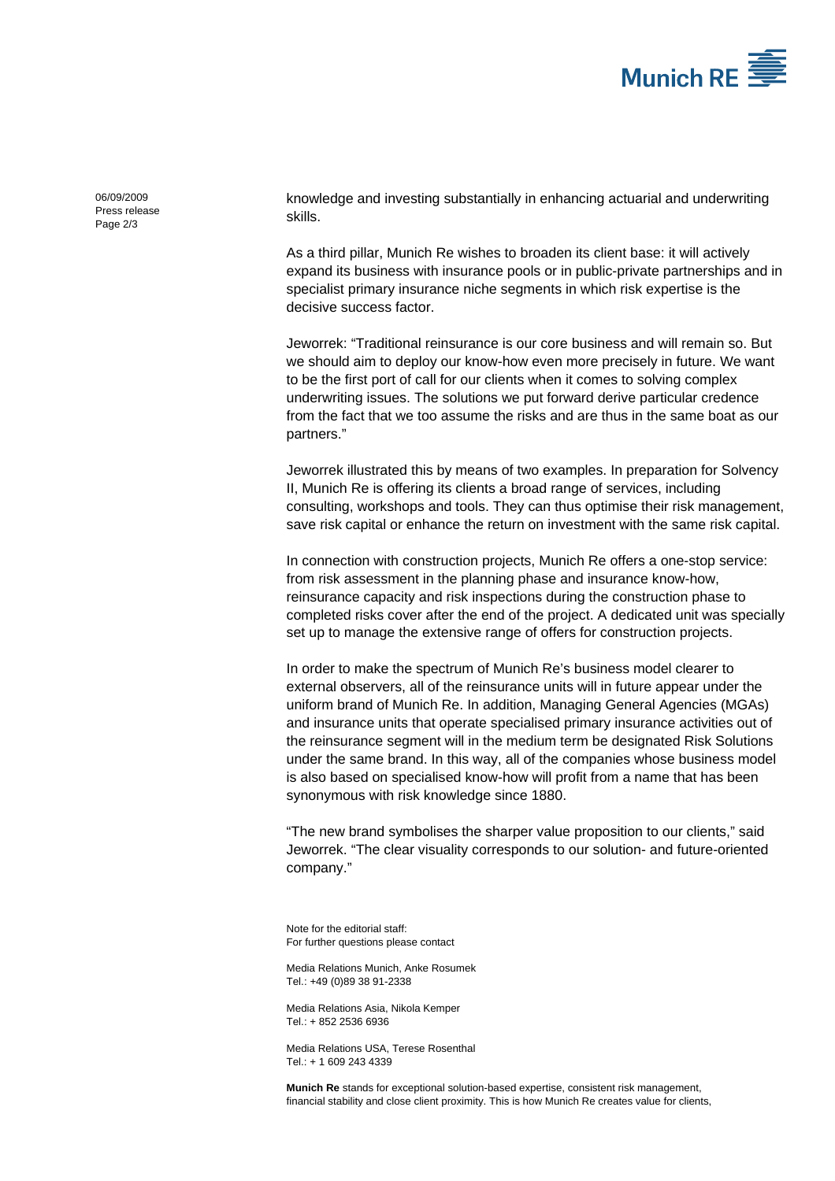

06/09/2009 Press release Page 2/3

knowledge and investing substantially in enhancing actuarial and underwriting skills.

As a third pillar, Munich Re wishes to broaden its client base: it will actively expand its business with insurance pools or in public-private partnerships and in specialist primary insurance niche segments in which risk expertise is the decisive success factor.

Jeworrek: "Traditional reinsurance is our core business and will remain so. But we should aim to deploy our know-how even more precisely in future. We want to be the first port of call for our clients when it comes to solving complex underwriting issues. The solutions we put forward derive particular credence from the fact that we too assume the risks and are thus in the same boat as our partners."

Jeworrek illustrated this by means of two examples. In preparation for Solvency II, Munich Re is offering its clients a broad range of services, including consulting, workshops and tools. They can thus optimise their risk management, save risk capital or enhance the return on investment with the same risk capital.

In connection with construction projects, Munich Re offers a one-stop service: from risk assessment in the planning phase and insurance know-how, reinsurance capacity and risk inspections during the construction phase to completed risks cover after the end of the project. A dedicated unit was specially set up to manage the extensive range of offers for construction projects.

In order to make the spectrum of Munich Re's business model clearer to external observers, all of the reinsurance units will in future appear under the uniform brand of Munich Re. In addition, Managing General Agencies (MGAs) and insurance units that operate specialised primary insurance activities out of the reinsurance segment will in the medium term be designated Risk Solutions under the same brand. In this way, all of the companies whose business model is also based on specialised know-how will profit from a name that has been synonymous with risk knowledge since 1880.

"The new brand symbolises the sharper value proposition to our clients," said Jeworrek. "The clear visuality corresponds to our solution- and future-oriented company."

Note for the editorial staff: For further questions please contact

Media Relations Munich, Anke Rosumek Tel.: +49 (0)89 38 91-2338

Media Relations Asia, Nikola Kemper Tel.: + 852 2536 6936

Media Relations USA, Terese Rosenthal Tel.: + 1 609 243 4339

**Munich Re** stands for exceptional solution-based expertise, consistent risk management, financial stability and close client proximity. This is how Munich Re creates value for clients,